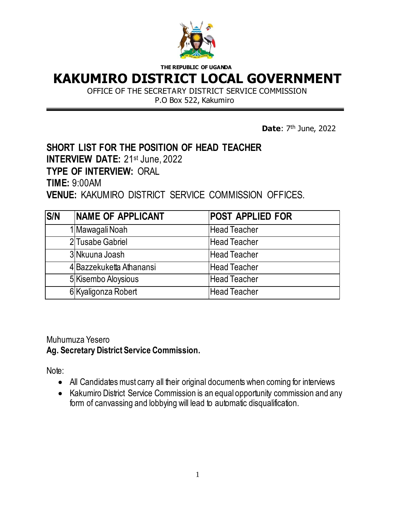

## **KAKUMIRO DISTRICT LOCAL GOVERNMENT**

OFFICE OF THE SECRETARY DISTRICT SERVICE COMMISSION P.O Box 522, Kakumiro

**Date**:  $7<sup>th</sup>$  June, 2022

### **SHORT LIST FOR THE POSITION OF HEAD TEACHER**

**INTERVIEW DATE: 21st June, 2022** 

**TYPE OF INTERVIEW:** ORAL

**TIME:** 9:00AM

**VENUE:** KAKUMIRO DISTRICT SERVICE COMMISSION OFFICES.

| <b>S/N</b> | <b>INAME OF APPLICANT</b> | <b>POST APPLIED FOR</b> |
|------------|---------------------------|-------------------------|
|            | 1 Mawagali Noah           | <b>Head Teacher</b>     |
|            | 2 Tusabe Gabriel          | <b>Head Teacher</b>     |
|            | 3 Nkuuna Joash            | <b>Head Teacher</b>     |
|            | 4 Bazzekuketta Athanansi  | <b>Head Teacher</b>     |
|            | 5 Kisembo Aloysious       | <b>Head Teacher</b>     |
|            | 6 Kyaligonza Robert       | <b>Head Teacher</b>     |

Muhumuza Yesero **Ag. Secretary District Service Commission.**

- All Candidates must carry all their original documents when coming for interviews
- Kakumiro District Service Commission is an equal opportunity commission and any form of canvassing and lobbying will lead to automatic disqualification.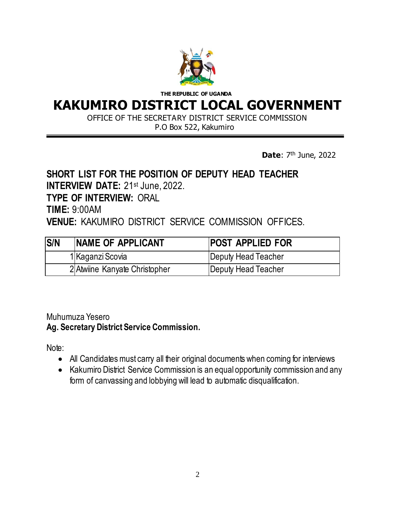

## **KAKUMIRO DISTRICT LOCAL GOVERNMENT**

OFFICE OF THE SECRETARY DISTRICT SERVICE COMMISSION

P.O Box 522, Kakumiro

**Date**:  $7<sup>th</sup>$  June, 2022

### **SHORT LIST FOR THE POSITION OF DEPUTY HEAD TEACHER INTERVIEW DATE: 21st June, 2022. TYPE OF INTERVIEW:** ORAL **TIME:** 9:00AM **VENUE:** KAKUMIRO DISTRICT SERVICE COMMISSION OFFICES.

| <b>S/N</b> | NAME OF APPLICANT             | <b>POST APPLIED FOR</b> |
|------------|-------------------------------|-------------------------|
|            | 1 Kaganzi Scovia              | Deputy Head Teacher     |
|            | 2 Atwiine Kanyate Christopher | Deputy Head Teacher     |

Muhumuza Yesero

**Ag. Secretary District Service Commission.**

- All Candidates must carry all their original documents when coming for interviews
- Kakumiro District Service Commission is an equal opportunity commission and any form of canvassing and lobbying will lead to automatic disqualification.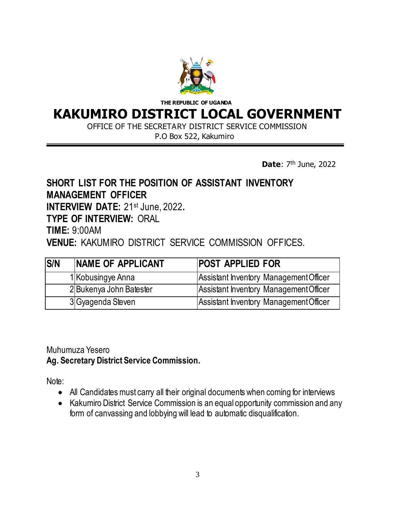

### **KAKUMIRO DISTRICT LOCAL GOVERNMENT**

OFFICE OF THE SECRETARY DISTRICT SERVICE COMMISSION

P.O Box 522, Kakumiro

**Date**:  $7<sup>th</sup>$  June, 2022

#### **SHORT LIST FOR THE POSITION OF ASSISTANT INVENTORY MANAGEMENT OFFICER INTERVIEW DATE:** 21st June, 2022**.**

**TYPE OF INTERVIEW:** ORAL

**TIME:** 9:00AM

**VENUE:** KAKUMIRO DISTRICT SERVICE COMMISSION OFFICES.

| <b>S/N</b> | <b>INAME OF APPLICANT</b> | <b>POST APPLIED FOR</b>                |
|------------|---------------------------|----------------------------------------|
|            | 1 Kobusingye Anna         | Assistant Inventory Management Officer |
|            | 2 Bukenya John Batester   | Assistant Inventory Management Officer |
|            | 3 Gyagenda Steven         | Assistant Inventory Management Officer |

Muhumuza Yesero **Ag. Secretary District Service Commission.**

- All Candidates must carry all their original documents when coming for interviews
- Kakumiro District Service Commission is an equal opportunity commission and any form of canvassing and lobbying will lead to automatic disqualification.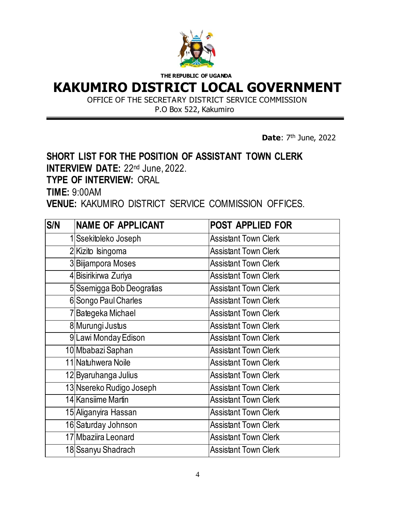

## **KAKUMIRO DISTRICT LOCAL GOVERNMENT**

OFFICE OF THE SECRETARY DISTRICT SERVICE COMMISSION

P.O Box 522, Kakumiro

**Date**:  $7<sup>th</sup>$  June, 2022

### **SHORT LIST FOR THE POSITION OF ASSISTANT TOWN CLERK INTERVIEW DATE: 22nd June, 2022.**

**TYPE OF INTERVIEW:** ORAL

**TIME:** 9:00AM

**VENUE:** KAKUMIRO DISTRICT SERVICE COMMISSION OFFICES.

| <b>S/N</b> | <b>NAME OF APPLICANT</b>  | <b>POST APPLIED FOR</b>     |
|------------|---------------------------|-----------------------------|
|            | 1 Ssekitoleko Joseph      | <b>Assistant Town Clerk</b> |
|            | 2Kizito Isingoma          | <b>Assistant Town Clerk</b> |
|            | 3 Biljampora Moses        | <b>Assistant Town Clerk</b> |
|            | 4 Bisirikirwa Zuriya      | <b>Assistant Town Clerk</b> |
|            | 5 Ssemigga Bob Deogratias | <b>Assistant Town Clerk</b> |
|            | 6 Songo Paul Charles      | <b>Assistant Town Clerk</b> |
|            | 7Bategeka Michael         | <b>Assistant Town Clerk</b> |
|            | 8 Murungi Justus          | <b>Assistant Town Clerk</b> |
|            | 9Lawi Monday Edison       | <b>Assistant Town Clerk</b> |
|            | 10 Mbabazi Saphan         | <b>Assistant Town Clerk</b> |
|            | 11 Natuhwera Noile        | <b>Assistant Town Clerk</b> |
|            | 12 Byaruhanga Julius      | <b>Assistant Town Clerk</b> |
|            | 13 Nsereko Rudigo Joseph  | <b>Assistant Town Clerk</b> |
|            | 14 Kansiime Martin        | <b>Assistant Town Clerk</b> |
|            | 15 Aliganyira Hassan      | <b>Assistant Town Clerk</b> |
|            | 16 Saturday Johnson       | <b>Assistant Town Clerk</b> |
|            | 17 Mbaziira Leonard       | <b>Assistant Town Clerk</b> |
|            | 18 Ssanyu Shadrach        | <b>Assistant Town Clerk</b> |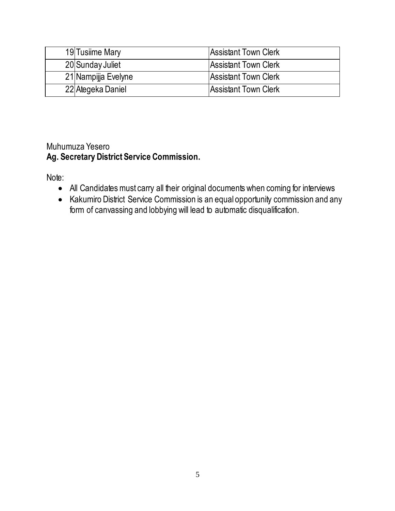| 19 Tusiime Mary     | Assistant Town Clerk        |
|---------------------|-----------------------------|
| 20 Sunday Juliet    | Assistant Town Clerk        |
| 21 Nampijja Evelyne | <b>Assistant Town Clerk</b> |
| 22 Ategeka Daniel   | Assistant Town Clerk        |

#### Muhumuza Yesero **Ag. Secretary District Service Commission.**

- All Candidates must carry all their original documents when coming for interviews
- Kakumiro District Service Commission is an equal opportunity commission and any form of canvassing and lobbying will lead to automatic disqualification.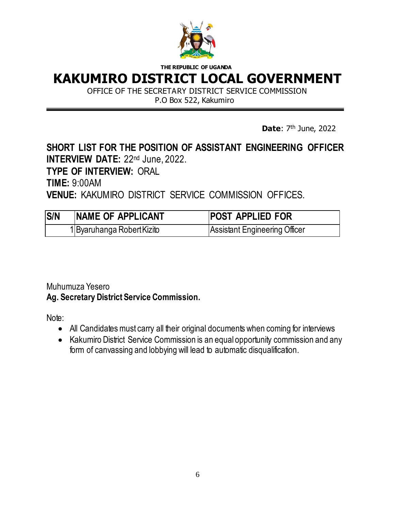

## **KAKUMIRO DISTRICT LOCAL GOVERNMENT**

OFFICE OF THE SECRETARY DISTRICT SERVICE COMMISSION P.O Box 522, Kakumiro

**Date**:  $7<sup>th</sup>$  June, 2022

#### **SHORT LIST FOR THE POSITION OF ASSISTANT ENGINEERING OFFICER INTERVIEW DATE: 22<sup>nd</sup> June, 2022.**

**TYPE OF INTERVIEW:** ORAL

**TIME:** 9:00AM

**VENUE:** KAKUMIRO DISTRICT SERVICE COMMISSION OFFICES.

| S/N | NAME OF APPLICANT          | <b>POST APPLIED FOR</b>       |
|-----|----------------------------|-------------------------------|
|     | 1 Byaruhanga Robert Kizito | Assistant Engineering Officer |

#### Muhumuza Yesero **Ag. Secretary District Service Commission.**

- All Candidates must carry all their original documents when coming for interviews
- Kakumiro District Service Commission is an equal opportunity commission and any form of canvassing and lobbying will lead to automatic disqualification.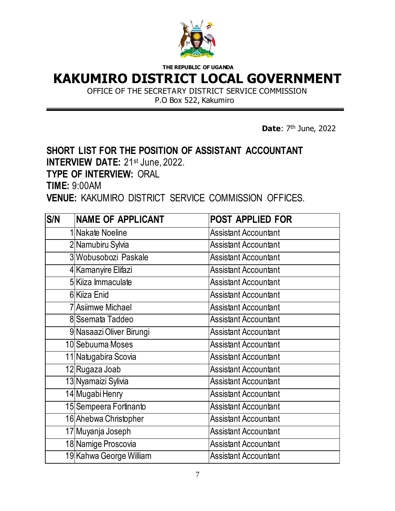

## **KAKUMIRO DISTRICT LOCAL GOVERNMENT**

OFFICE OF THE SECRETARY DISTRICT SERVICE COMMISSION P.O Box 522, Kakumiro

**Date**:  $7<sup>th</sup>$  June, 2022

# **SHORT LIST FOR THE POSITION OF ASSISTANT ACCOUNTANT**

**INTERVIEW DATE: 21st June, 2022.** 

**TYPE OF INTERVIEW:** ORAL

**TIME:** 9:00AM

**VENUE:** KAKUMIRO DISTRICT SERVICE COMMISSION OFFICES.

| S/N | <b>NAME OF APPLICANT</b> | <b>POST APPLIED FOR</b>     |
|-----|--------------------------|-----------------------------|
|     | 1 Nakate Noeline         | <b>Assistant Accountant</b> |
|     | 2 Namubiru Sylvia        | <b>Assistant Accountant</b> |
|     | 3 Wobusobozi Paskale     | <b>Assistant Accountant</b> |
|     | 4 Kamanyire Elifazi      | <b>Assistant Accountant</b> |
|     | 5 Kiiza Immaculate       | <b>Assistant Accountant</b> |
|     | 6 Kiiza Enid             | <b>Assistant Accountant</b> |
|     | 7 Asiimwe Michael        | <b>Assistant Accountant</b> |
|     | 8 Ssemata Taddeo         | <b>Assistant Accountant</b> |
|     | 9 Nasaazi Oliver Birungi | <b>Assistant Accountant</b> |
|     | 10 Sebuuma Moses         | <b>Assistant Accountant</b> |
|     | 11 Natugabira Scovia     | <b>Assistant Accountant</b> |
|     | 12 Rugaza Joab           | <b>Assistant Accountant</b> |
|     | 13 Nyamaizi Sylivia      | <b>Assistant Accountant</b> |
|     | 14 Mugabi Henry          | <b>Assistant Accountant</b> |
|     | 15 Sempeera Fortinanto   | <b>Assistant Accountant</b> |
|     | 16 Ahebwa Christopher    | <b>Assistant Accountant</b> |
|     | 17 Muyanja Joseph        | <b>Assistant Accountant</b> |
|     | 18 Namige Proscovia      | <b>Assistant Accountant</b> |
|     | 19 Kahwa George William  | <b>Assistant Accountant</b> |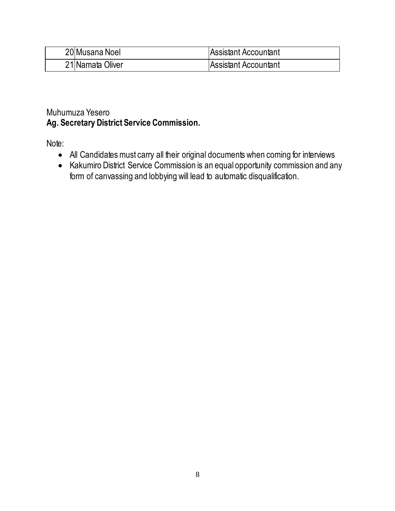| 20 Musana Noel   | Assistant Accountant |
|------------------|----------------------|
| 21 Namata Oliver | Assistant Accountant |

#### Muhumuza Yesero **Ag. Secretary District Service Commission.**

- All Candidates must carry all their original documents when coming for interviews
- Kakumiro District Service Commission is an equal opportunity commission and any form of canvassing and lobbying will lead to automatic disqualification.